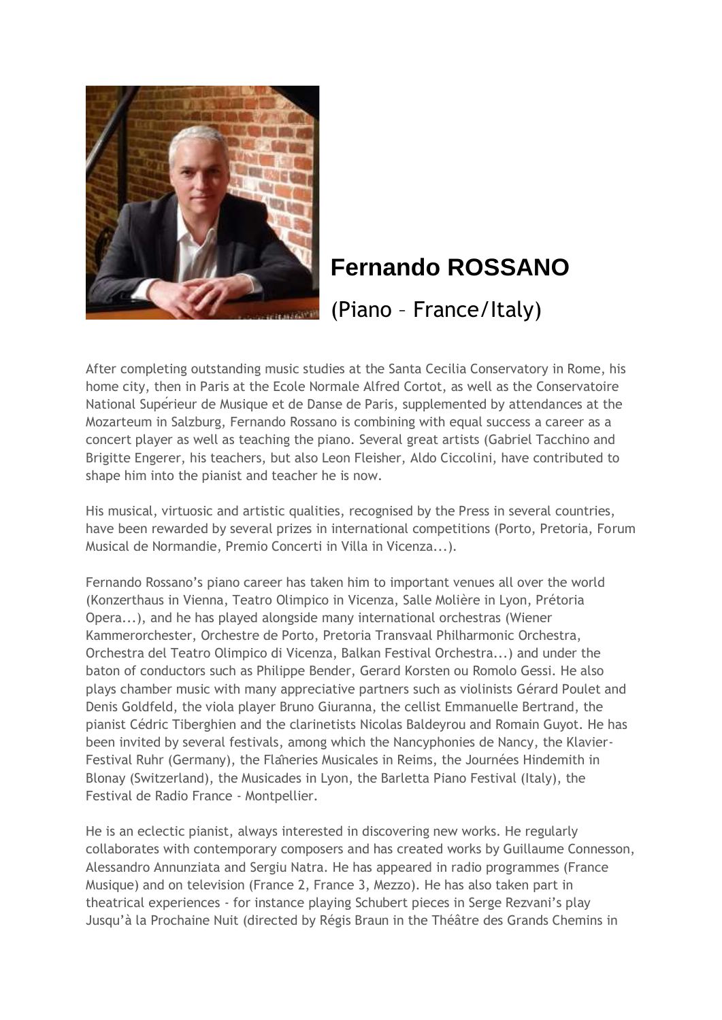

## **Fernando ROSSANO**

(Piano – France/Italy)

After completing outstanding music studies at the Santa Cecilia Conservatory in Rome, his home city, then in Paris at the Ecole Normale Alfred Cortot, as well as the Conservatoire National Superieur de Musique et de Danse de Paris, supplemented by attendances at the Mozarteum in Salzburg, Fernando Rossano is combining with equal success a career as a concert player as well as teaching the piano. Several great artists (Gabriel Tacchino and Brigitte Engerer, his teachers, but also Leon Fleisher, Aldo Ciccolini, have contributed to shape him into the pianist and teacher he is now.

His musical, virtuosic and artistic qualities, recognised by the Press in several countries, have been rewarded by several prizes in international competitions (Porto, Pretoria, Forum Musical de Normandie, Premio Concerti in Villa in Vicenza...).

Fernando Rossano's piano career has taken him to important venues all over the world (Konzerthaus in Vienna, Teatro Olimpico in Vicenza, Salle Molière in Lyon, Prétoria Opera...), and he has played alongside many international orchestras (Wiener Kammerorchester, Orchestre de Porto, Pretoria Transvaal Philharmonic Orchestra, Orchestra del Teatro Olimpico di Vicenza, Balkan Festival Orchestra...) and under the baton of conductors such as Philippe Bender, Gerard Korsten ou Romolo Gessi. He also plays chamber music with many appreciative partners such as violinists Gérard Poulet and Denis Goldfeld, the viola player Bruno Giuranna, the cellist Emmanuelle Bertrand, the pianist Cédric Tiberghien and the clarinetists Nicolas Baldeyrou and Romain Guyot. He has been invited by several festivals, among which the Nancyphonies de Nancy, the Klavier-Festival Ruhr (Germany), the Flâneries Musicales in Reims, the Journées Hindemith in Blonay (Switzerland), the Musicades in Lyon, the Barletta Piano Festival (Italy), the Festival de Radio France - Montpellier.

He is an eclectic pianist, always interested in discovering new works. He regularly collaborates with contemporary composers and has created works by Guillaume Connesson, Alessandro Annunziata and Sergiu Natra. He has appeared in radio programmes (France Musique) and on television (France 2, France 3, Mezzo). He has also taken part in theatrical experiences - for instance playing Schubert pieces in Serge Rezvani's play Jusqu'à la Prochaine Nuit (directed by Régis Braun in the Théâtre des Grands Chemins in